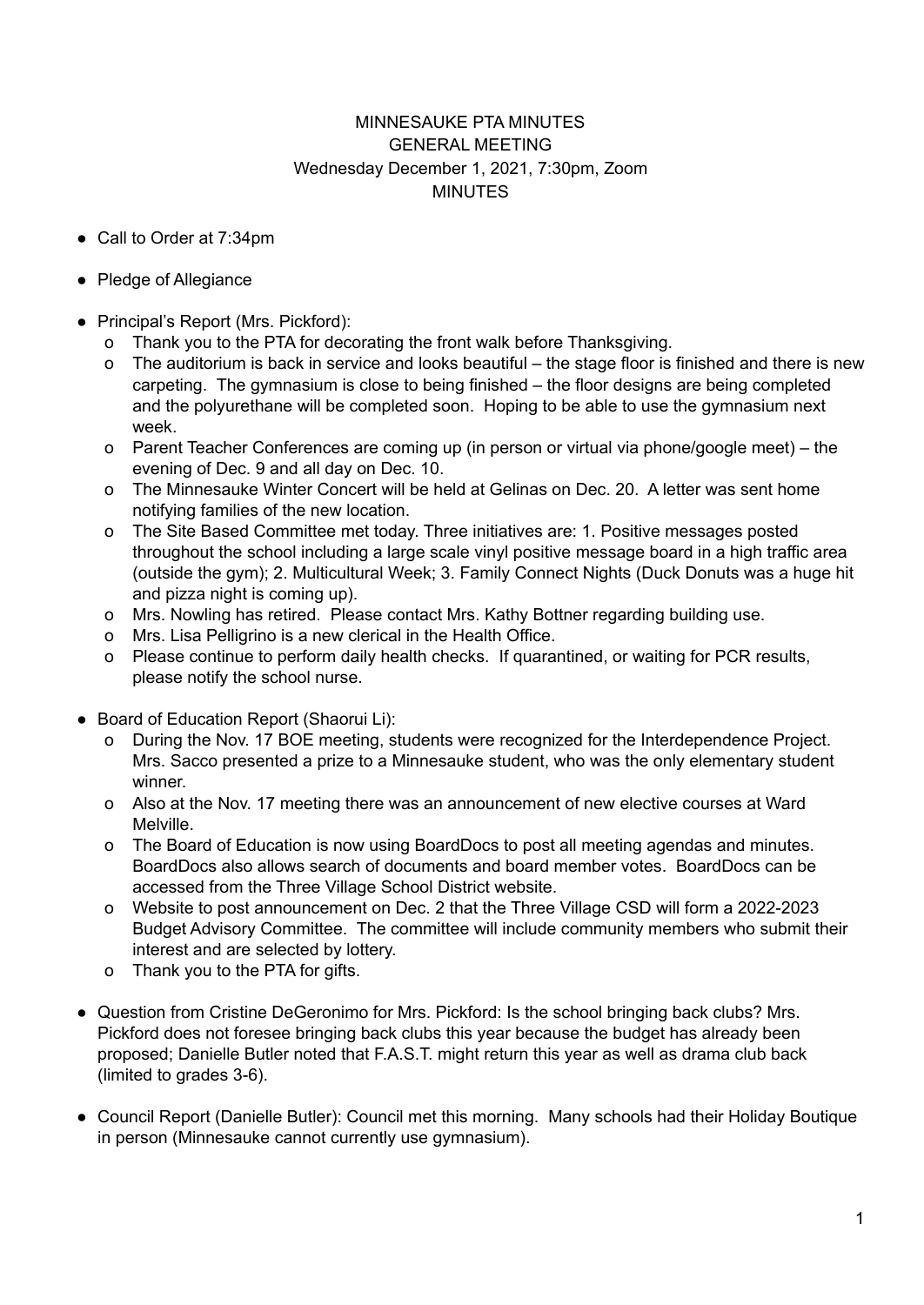## MINNESAUKE PTA MINUTES GENERAL MEETING Wednesday December 1, 2021, 7:30pm, Zoom MINUTES

- Call to Order at 7:34pm
- Pledge of Allegiance
- Principal's Report (Mrs. Pickford):
	- o Thank you to the PTA for decorating the front walk before Thanksgiving.
	- o The auditorium is back in service and looks beautiful the stage floor is finished and there is new carpeting. The gymnasium is close to being finished – the floor designs are being completed and the polyurethane will be completed soon. Hoping to be able to use the gymnasium next week.
	- o Parent Teacher Conferences are coming up (in person or virtual via phone/google meet) the evening of Dec. 9 and all day on Dec. 10.
	- o The Minnesauke Winter Concert will be held at Gelinas on Dec. 20. A letter was sent home notifying families of the new location.
	- o The Site Based Committee met today. Three initiatives are: 1. Positive messages posted throughout the school including a large scale vinyl positive message board in a high traffic area (outside the gym); 2. Multicultural Week; 3. Family Connect Nights (Duck Donuts was a huge hit and pizza night is coming up).
	- o Mrs. Nowling has retired. Please contact Mrs. Kathy Bottner regarding building use.
	- o Mrs. Lisa Pelligrino is a new clerical in the Health Office.
	- o Please continue to perform daily health checks. If quarantined, or waiting for PCR results, please notify the school nurse.
- Board of Education Report (Shaorui Li):
	- o During the Nov. 17 BOE meeting, students were recognized for the Interdependence Project. Mrs. Sacco presented a prize to a Minnesauke student, who was the only elementary student winner.
	- o Also at the Nov. 17 meeting there was an announcement of new elective courses at Ward Melville.
	- o The Board of Education is now using BoardDocs to post all meeting agendas and minutes. BoardDocs also allows search of documents and board member votes. BoardDocs can be accessed from the Three Village School District website.
	- o Website to post announcement on Dec. 2 that the Three Village CSD will form a 2022-2023 Budget Advisory Committee. The committee will include community members who submit their interest and are selected by lottery.
	- o Thank you to the PTA for gifts.
- Question from Cristine DeGeronimo for Mrs. Pickford: Is the school bringing back clubs? Mrs. Pickford does not foresee bringing back clubs this year because the budget has already been proposed; Danielle Butler noted that F.A.S.T. might return this year as well as drama club back (limited to grades 3-6).
- Council Report (Danielle Butler): Council met this morning. Many schools had their Holiday Boutique in person (Minnesauke cannot currently use gymnasium).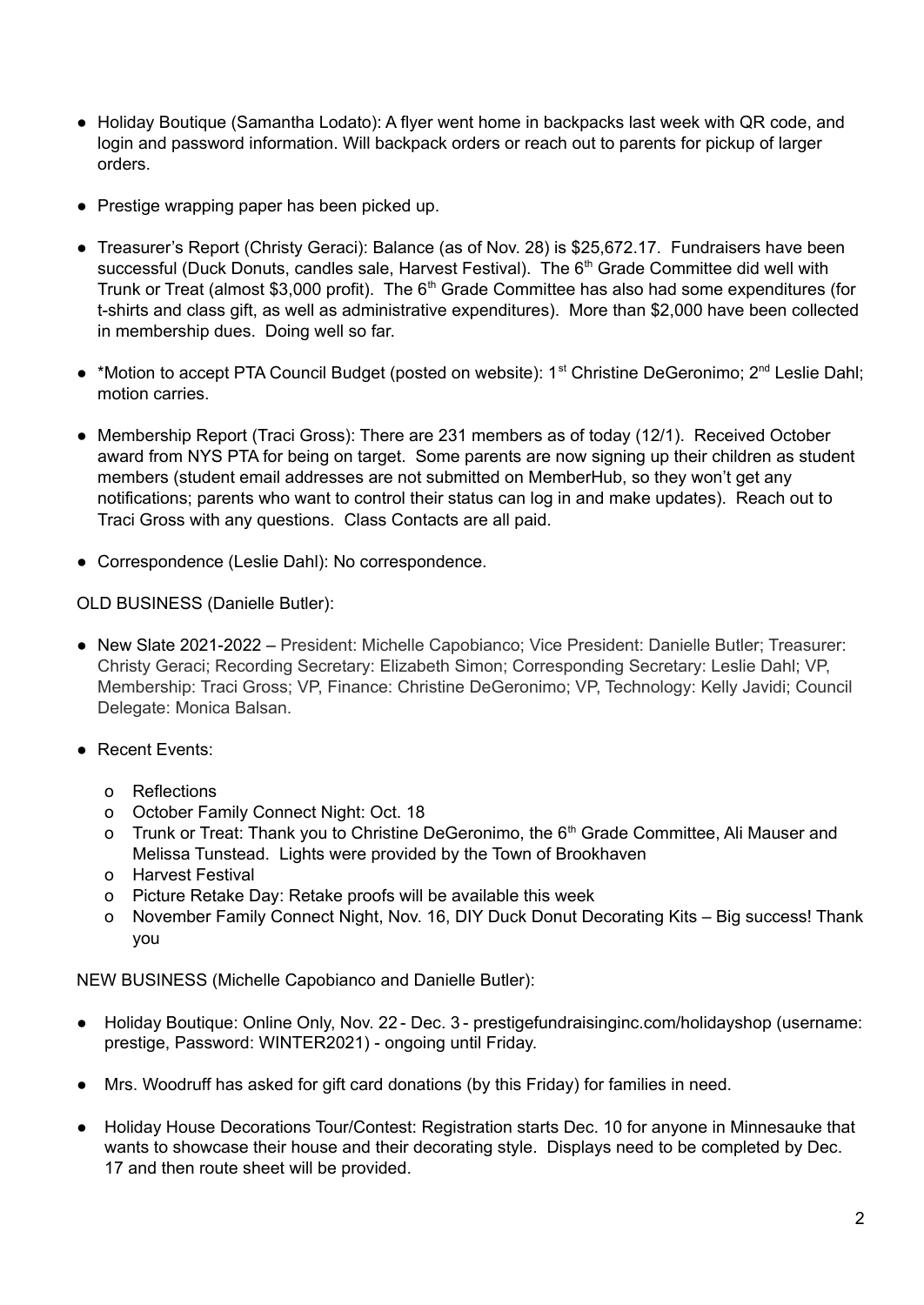- Holiday Boutique (Samantha Lodato): A flyer went home in backpacks last week with QR code, and login and password information. Will backpack orders or reach out to parents for pickup of larger orders.
- Prestige wrapping paper has been picked up.
- Treasurer's Report (Christy Geraci): Balance (as of Nov. 28) is \$25,672.17. Fundraisers have been successful (Duck Donuts, candles sale, Harvest Festival). The 6<sup>th</sup> Grade Committee did well with Trunk or Treat (almost \$3,000 profit). The 6<sup>th</sup> Grade Committee has also had some expenditures (for t-shirts and class gift, as well as administrative expenditures). More than \$2,000 have been collected in membership dues. Doing well so far.
- \*Motion to accept PTA Council Budget (posted on website): 1<sup>st</sup> Christine DeGeronimo; 2<sup>nd</sup> Leslie Dahl; motion carries.
- Membership Report (Traci Gross): There are 231 members as of today (12/1). Received October award from NYS PTA for being on target. Some parents are now signing up their children as student members (student email addresses are not submitted on MemberHub, so they won't get any notifications; parents who want to control their status can log in and make updates). Reach out to Traci Gross with any questions. Class Contacts are all paid.
- Correspondence (Leslie Dahl): No correspondence.

OLD BUSINESS (Danielle Butler):

- New Slate 2021-2022 President: Michelle Capobianco; Vice President: Danielle Butler; Treasurer: Christy Geraci; Recording Secretary: Elizabeth Simon; Corresponding Secretary: Leslie Dahl; VP, Membership: Traci Gross; VP, Finance: Christine DeGeronimo; VP, Technology: Kelly Javidi; Council Delegate: Monica Balsan.
- Recent Events:
	- o Reflections
	- o October Family Connect Night: Oct. 18
	- o Trunk or Treat: Thank you to Christine DeGeronimo, the 6<sup>th</sup> Grade Committee, Ali Mauser and Melissa Tunstead. Lights were provided by the Town of Brookhaven
	- o Harvest Festival
	- o Picture Retake Day: Retake proofs will be available this week
	- o November Family Connect Night, Nov. 16, DIY Duck Donut Decorating Kits Big success! Thank you

NEW BUSINESS (Michelle Capobianco and Danielle Butler):

- Holiday Boutique: Online Only, Nov. 22 Dec. 3 prestigefundraisinginc.com/holidayshop (username: prestige, Password: WINTER2021) - ongoing until Friday.
- Mrs. Woodruff has asked for gift card donations (by this Friday) for families in need.
- Holiday House Decorations Tour/Contest: Registration starts Dec. 10 for anyone in Minnesauke that wants to showcase their house and their decorating style. Displays need to be completed by Dec. 17 and then route sheet will be provided.